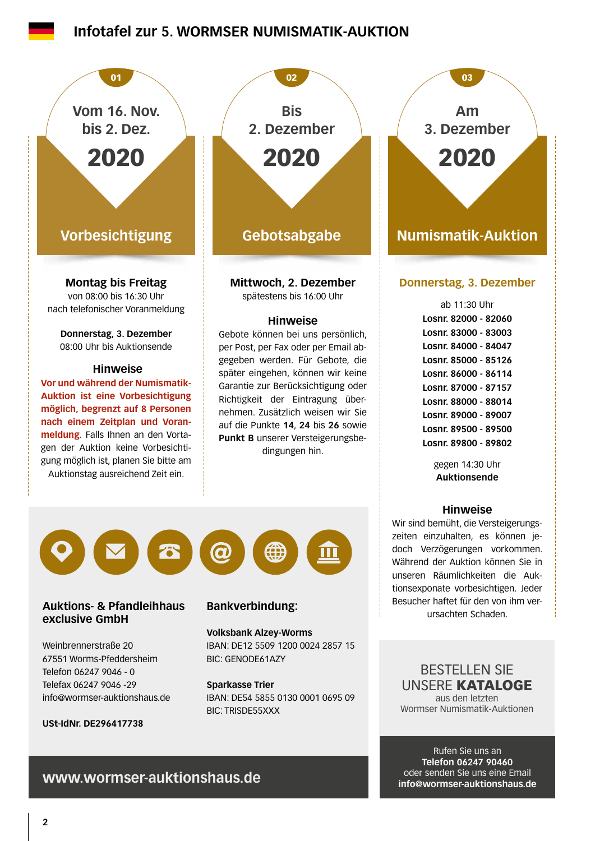## **Infotafel zur 5. WORMSER NUMISMATIK-AUKTION**



Weinbrennerstraße 20 67551 Worms-Pfeddersheim Telefon 06247 9046 - 0 Telefax 06247 9046 -29 info@wormser-auktionshaus.de

**USt-IdNr. DE296417738**

**Volksbank Alzey-Worms** IBAN: DE12 5509 1200 0024 2857 15 BIC: GENODE61AZY

**Sparkasse Trier** IBAN: DE54 5855 0130 0001 0695 09 BIC: TRISDE55XXX

BESTELLEN SIE UNSERE KATALOGE aus den letzten Wormser Numismatik-Auktionen

Rufen Sie uns an **Telefon 06247 90460** oder senden Sie uns eine Email **info@wormser-auktionshaus.de**

### **www.wormser-auktionshaus.de**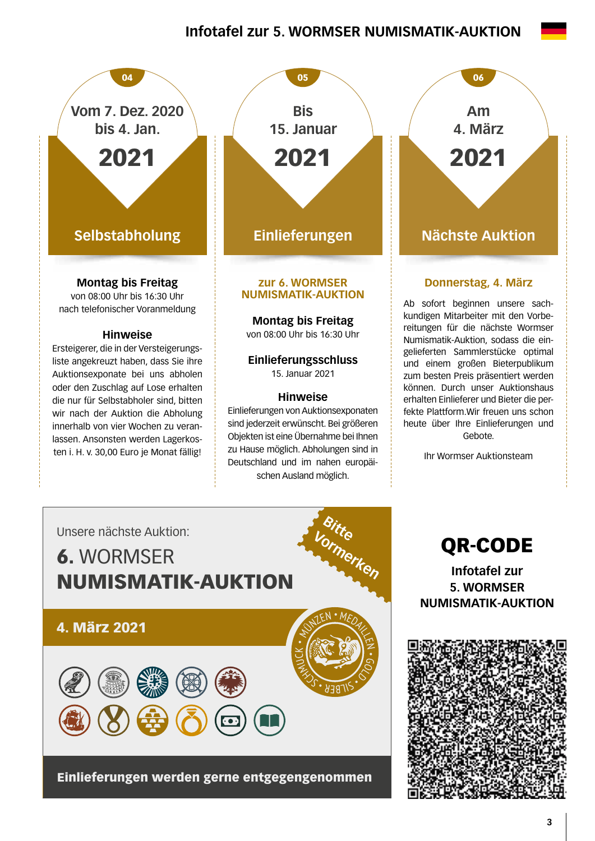## **Infotafel zur 5. WORMSER NUMISMATIK-AUKTION**



die nur für Selbstabholer sind, bitten wir nach der Auktion die Abholung innerhalb von vier Wochen zu veranlassen. Ansonsten werden Lagerkosten i. H. v. 30,00 Euro je Monat fällig!

**Einlieferungen** 05 **Bis 15. Januar** 2021

#### **zur 6. WORMSER NUMISMATIK-AUKTION**

**Montag bis Freitag** 

von 08:00 Uhr bis 16:30 Uhr

#### **Einlieferungsschluss**  15. Januar 2021

### **Hinweise**

Einlieferungen von Auktionsexponaten sind jederzeit erwünscht. Bei größeren Objekten ist eine Übernahme bei Ihnen zu Hause möglich. Abholungen sind in Deutschland und im nahen europäischen Ausland möglich.

**Nächste Auktion** 06 **Am 4. März** 2021

### **Donnerstag, 4. März**

Ab sofort beginnen unsere sachkundigen Mitarbeiter mit den Vorbereitungen für die nächste Wormser Numismatik-Auktion, sodass die eingelieferten Sammlerstücke optimal und einem großen Bieterpublikum zum besten Preis präsentiert werden können. Durch unser Auktionshaus erhalten Einlieferer und Bieter die perfekte Plattform.Wir freuen uns schon heute über Ihre Einlieferungen und Gebote.

Ihr Wormser Auktionsteam



Einlieferungen werden gerne entgegengenommen

QR-CODE

**Infotafel zur 5. WORMSER NUMISMATIK-AUKTION**

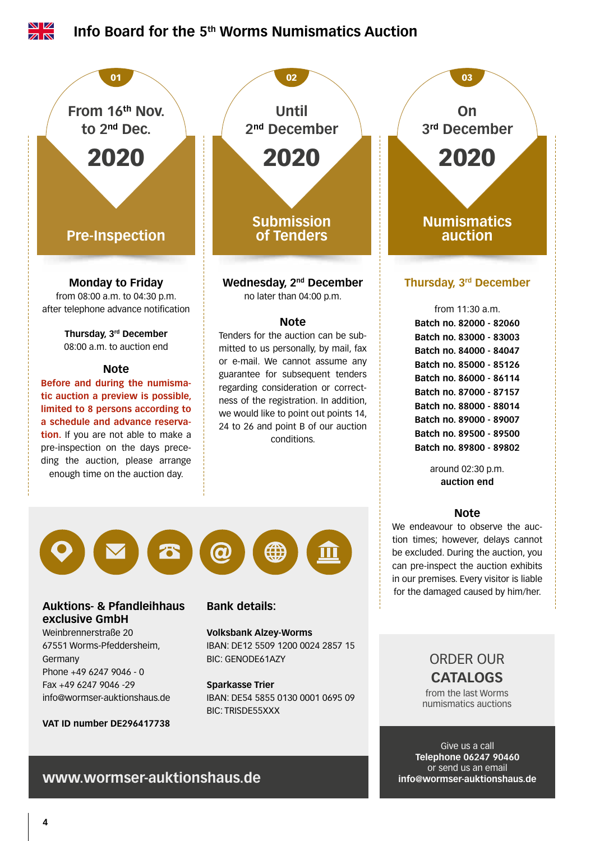

**VAT ID number DE296417738**

Give us a call **Telephone 06247 90460** or send us an email **info@wormser-auktionshaus.de**

# **www.wormser-auktionshaus.de**